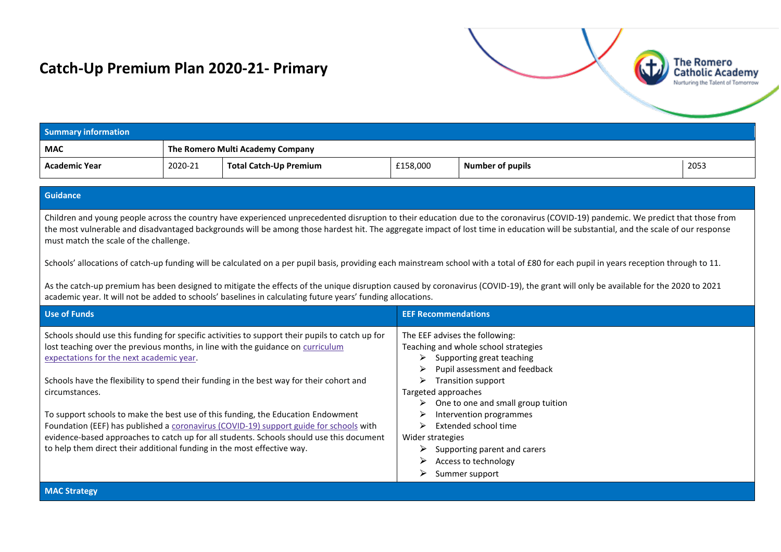## **Catch-Up Premium Plan 2020-21- Primary**



The Romero

## **Guidance**

Children and young people across the country have experienced unprecedented disruption to their education due to the coronavirus (COVID-19) pandemic. We predict that those from the most vulnerable and disadvantaged backgrounds will be among those hardest hit. The aggregate impact of lost time in education will be substantial, and the scale of our response must match the scale of the challenge.

Schools' allocations of catch-up funding will be calculated on a per pupil basis, providing each mainstream school with a total of £80 for each pupil in years reception through to 11.

As the catch-up premium has been designed to mitigate the effects of the unique disruption caused by coronavirus (COVID-19), the grant will only be available for the 2020 to 2021 academic year. It will not be added to schools' baselines in calculating future years' funding allocations.

| Use of Funds                                                                                    | <b>EEF Recommendations</b>              |
|-------------------------------------------------------------------------------------------------|-----------------------------------------|
| Schools should use this funding for specific activities to support their pupils to catch up for | The EEF advises the following:          |
| lost teaching over the previous months, in line with the guidance on curriculum                 | Teaching and whole school strategies    |
| expectations for the next academic year.                                                        | Supporting great teaching<br>⋗          |
|                                                                                                 | Pupil assessment and feedback<br>⋗      |
| Schools have the flexibility to spend their funding in the best way for their cohort and        | Transition support<br>⋗                 |
| circumstances.                                                                                  | Targeted approaches                     |
|                                                                                                 | One to one and small group tuition<br>➤ |
| To support schools to make the best use of this funding, the Education Endowment                | Intervention programmes                 |
| Foundation (EEF) has published a coronavirus (COVID-19) support guide for schools with          | Extended school time                    |
| evidence-based approaches to catch up for all students. Schools should use this document        | Wider strategies                        |
| to help them direct their additional funding in the most effective way.                         | Supporting parent and carers            |
|                                                                                                 | ➤<br>Access to technology               |
|                                                                                                 | Summer support                          |

**MAC Strategy**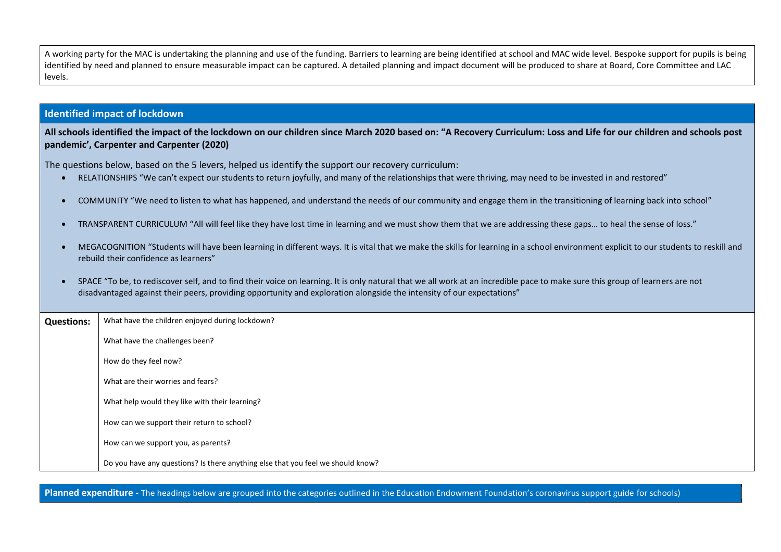A working party for the MAC is undertaking the planning and use of the funding. Barriers to learning are being identified at school and MAC wide level. Bespoke support for pupils is being identified by need and planned to ensure measurable impact can be captured. A detailed planning and impact document will be produced to share at Board, Core Committee and LAC levels.

## **Identified impact of lockdown**

**All schools identified the impact of the lockdown on our children since March 2020 based on: "A Recovery Curriculum: Loss and Life for our children and schools post pandemic', Carpenter and Carpenter (2020)**

The questions below, based on the 5 levers, helped us identify the support our recovery curriculum:

- RELATIONSHIPS "We can't expect our students to return joyfully, and many of the relationships that were thriving, may need to be invested in and restored"
- COMMUNITY "We need to listen to what has happened, and understand the needs of our community and engage them in the transitioning of learning back into school"
- TRANSPARENT CURRICULUM "All will feel like they have lost time in learning and we must show them that we are addressing these gaps… to heal the sense of loss."
- MEGACOGNITION "Students will have been learning in different ways. It is vital that we make the skills for learning in a school environment explicit to our students to reskill and rebuild their confidence as learners"
- SPACE "To be, to rediscover self, and to find their voice on learning. It is only natural that we all work at an incredible pace to make sure this group of learners are not disadvantaged against their peers, providing opportunity and exploration alongside the intensity of our expectations"

| <b>Questions:</b> | What have the children enjoyed during lockdown?                                 |
|-------------------|---------------------------------------------------------------------------------|
|                   | What have the challenges been?                                                  |
|                   | How do they feel now?                                                           |
|                   | What are their worries and fears?                                               |
|                   | What help would they like with their learning?                                  |
|                   | How can we support their return to school?                                      |
|                   | How can we support you, as parents?                                             |
|                   | Do you have any questions? Is there anything else that you feel we should know? |

**Planned expenditure -** The headings below are grouped into the categories outlined in the Education Endowment Foundation's coronavirus support guide for schools)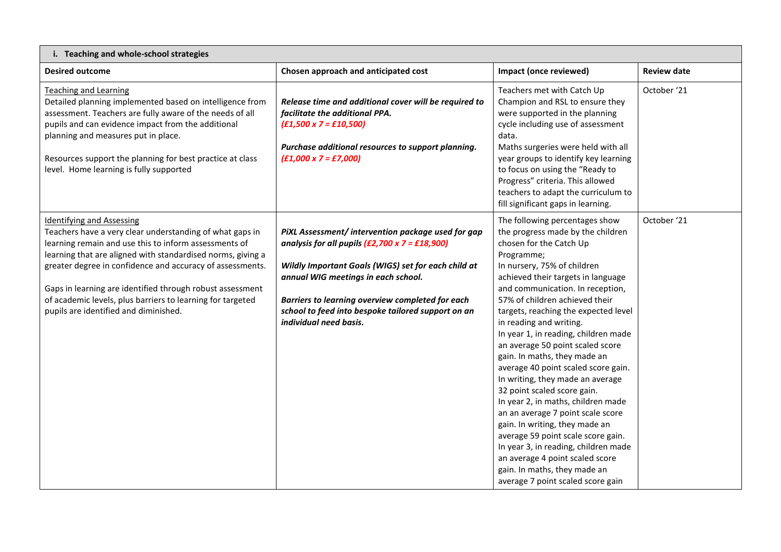| i. Teaching and whole-school strategies                                                                                                                                                                                                                                                                                                                                                                                                               |                                                                                                                                                                                                                                                                                                                                               |                                                                                                                                                                                                                                                                                                                                                                                                                                                                                                                                                                                                                                                                                                                                                                                                                                                     |                    |
|-------------------------------------------------------------------------------------------------------------------------------------------------------------------------------------------------------------------------------------------------------------------------------------------------------------------------------------------------------------------------------------------------------------------------------------------------------|-----------------------------------------------------------------------------------------------------------------------------------------------------------------------------------------------------------------------------------------------------------------------------------------------------------------------------------------------|-----------------------------------------------------------------------------------------------------------------------------------------------------------------------------------------------------------------------------------------------------------------------------------------------------------------------------------------------------------------------------------------------------------------------------------------------------------------------------------------------------------------------------------------------------------------------------------------------------------------------------------------------------------------------------------------------------------------------------------------------------------------------------------------------------------------------------------------------------|--------------------|
| <b>Desired outcome</b>                                                                                                                                                                                                                                                                                                                                                                                                                                | Chosen approach and anticipated cost                                                                                                                                                                                                                                                                                                          | Impact (once reviewed)                                                                                                                                                                                                                                                                                                                                                                                                                                                                                                                                                                                                                                                                                                                                                                                                                              | <b>Review date</b> |
| <b>Teaching and Learning</b><br>Detailed planning implemented based on intelligence from<br>assessment. Teachers are fully aware of the needs of all<br>pupils and can evidence impact from the additional<br>planning and measures put in place.<br>Resources support the planning for best practice at class<br>level. Home learning is fully supported                                                                                             | Release time and additional cover will be required to<br>facilitate the additional PPA.<br>$(E1,500 \times 7 = E10,500)$<br>Purchase additional resources to support planning.<br>$(E1,000 \times 7 = E7,000)$                                                                                                                                | Teachers met with Catch Up<br>Champion and RSL to ensure they<br>were supported in the planning<br>cycle including use of assessment<br>data.<br>Maths surgeries were held with all<br>year groups to identify key learning<br>to focus on using the "Ready to<br>Progress" criteria. This allowed<br>teachers to adapt the curriculum to<br>fill significant gaps in learning.                                                                                                                                                                                                                                                                                                                                                                                                                                                                     | October '21        |
| <b>Identifying and Assessing</b><br>Teachers have a very clear understanding of what gaps in<br>learning remain and use this to inform assessments of<br>learning that are aligned with standardised norms, giving a<br>greater degree in confidence and accuracy of assessments.<br>Gaps in learning are identified through robust assessment<br>of academic levels, plus barriers to learning for targeted<br>pupils are identified and diminished. | PiXL Assessment/ intervention package used for gap<br>analysis for all pupils $(E2,700 \times 7 = E18,900)$<br>Wildly Important Goals (WIGS) set for each child at<br>annual WIG meetings in each school.<br>Barriers to learning overview completed for each<br>school to feed into bespoke tailored support on an<br>individual need basis. | The following percentages show<br>the progress made by the children<br>chosen for the Catch Up<br>Programme;<br>In nursery, 75% of children<br>achieved their targets in language<br>and communication. In reception,<br>57% of children achieved their<br>targets, reaching the expected level<br>in reading and writing.<br>In year 1, in reading, children made<br>an average 50 point scaled score<br>gain. In maths, they made an<br>average 40 point scaled score gain.<br>In writing, they made an average<br>32 point scaled score gain.<br>In year 2, in maths, children made<br>an an average 7 point scale score<br>gain. In writing, they made an<br>average 59 point scale score gain.<br>In year 3, in reading, children made<br>an average 4 point scaled score<br>gain. In maths, they made an<br>average 7 point scaled score gain | October '21        |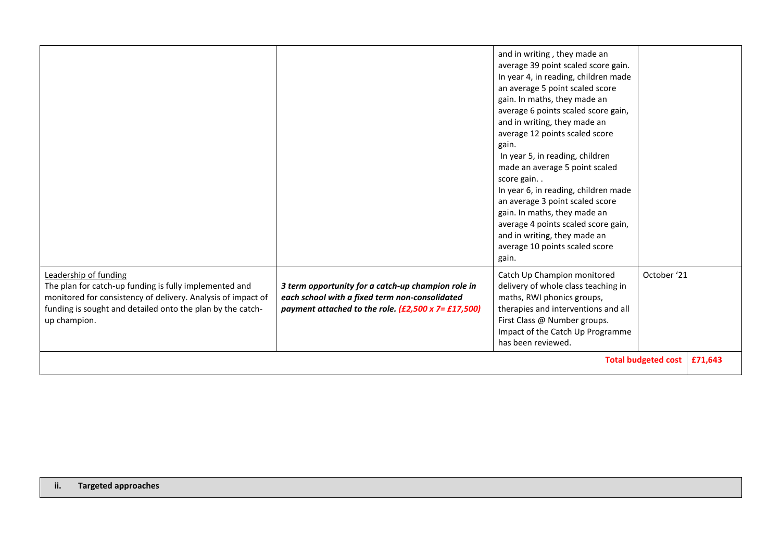|                                                                                                                                                                                                                               |                                                                                                                                                                     | and in writing, they made an<br>average 39 point scaled score gain.<br>In year 4, in reading, children made<br>an average 5 point scaled score<br>gain. In maths, they made an<br>average 6 points scaled score gain,<br>and in writing, they made an<br>average 12 points scaled score<br>gain.<br>In year 5, in reading, children<br>made an average 5 point scaled<br>score gain<br>In year 6, in reading, children made<br>an average 3 point scaled score<br>gain. In maths, they made an<br>average 4 points scaled score gain,<br>and in writing, they made an<br>average 10 points scaled score<br>gain. |                            |         |
|-------------------------------------------------------------------------------------------------------------------------------------------------------------------------------------------------------------------------------|---------------------------------------------------------------------------------------------------------------------------------------------------------------------|------------------------------------------------------------------------------------------------------------------------------------------------------------------------------------------------------------------------------------------------------------------------------------------------------------------------------------------------------------------------------------------------------------------------------------------------------------------------------------------------------------------------------------------------------------------------------------------------------------------|----------------------------|---------|
| Leadership of funding<br>The plan for catch-up funding is fully implemented and<br>monitored for consistency of delivery. Analysis of impact of<br>funding is sought and detailed onto the plan by the catch-<br>up champion. | 3 term opportunity for a catch-up champion role in<br>each school with a fixed term non-consolidated<br>payment attached to the role. $(E2,500 \times 7 = E17,500)$ | Catch Up Champion monitored<br>delivery of whole class teaching in<br>maths, RWI phonics groups,<br>therapies and interventions and all<br>First Class @ Number groups.<br>Impact of the Catch Up Programme<br>has been reviewed.                                                                                                                                                                                                                                                                                                                                                                                | October '21                |         |
|                                                                                                                                                                                                                               |                                                                                                                                                                     |                                                                                                                                                                                                                                                                                                                                                                                                                                                                                                                                                                                                                  | <b>Total budgeted cost</b> | £71,643 |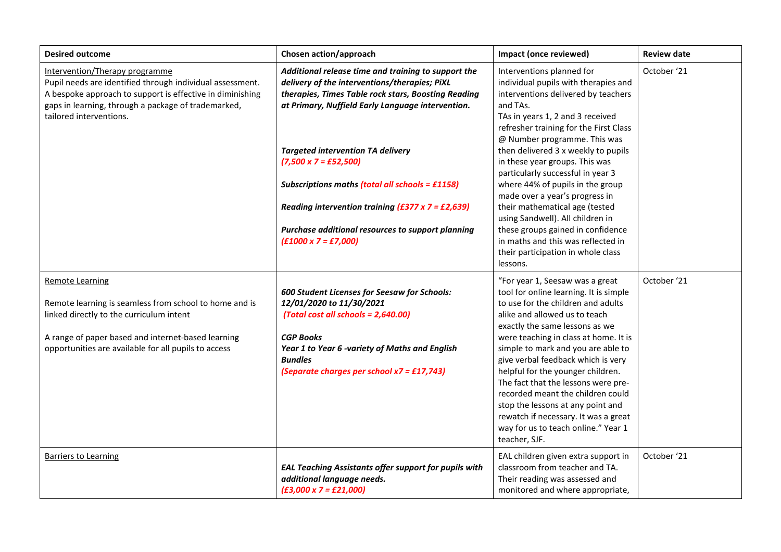| <b>Desired outcome</b>                                                                                                                                                                                                                     | Chosen action/approach                                                                                                                                                                                                                                                                                                                                                                                                                                                                          | Impact (once reviewed)                                                                                                                                                                                                                                                                                                                                                                                                                                                                                                                                                                                                    | <b>Review date</b> |
|--------------------------------------------------------------------------------------------------------------------------------------------------------------------------------------------------------------------------------------------|-------------------------------------------------------------------------------------------------------------------------------------------------------------------------------------------------------------------------------------------------------------------------------------------------------------------------------------------------------------------------------------------------------------------------------------------------------------------------------------------------|---------------------------------------------------------------------------------------------------------------------------------------------------------------------------------------------------------------------------------------------------------------------------------------------------------------------------------------------------------------------------------------------------------------------------------------------------------------------------------------------------------------------------------------------------------------------------------------------------------------------------|--------------------|
| Intervention/Therapy programme<br>Pupil needs are identified through individual assessment.<br>A bespoke approach to support is effective in diminishing<br>gaps in learning, through a package of trademarked,<br>tailored interventions. | Additional release time and training to support the<br>delivery of the interventions/therapies; PiXL<br>therapies, Times Table rock stars, Boosting Reading<br>at Primary, Nuffield Early Language intervention.<br><b>Targeted intervention TA delivery</b><br>$(7,500 \times 7 = £52,500)$<br>Subscriptions maths (total all schools = £1158)<br>Reading intervention training $(£377 \times 7 = £2,639)$<br>Purchase additional resources to support planning<br>$(£1000 \times 7 = £7,000)$ | Interventions planned for<br>individual pupils with therapies and<br>interventions delivered by teachers<br>and TAs.<br>TAs in years 1, 2 and 3 received<br>refresher training for the First Class<br>@ Number programme. This was<br>then delivered 3 x weekly to pupils<br>in these year groups. This was<br>particularly successful in year 3<br>where 44% of pupils in the group<br>made over a year's progress in<br>their mathematical age (tested<br>using Sandwell). All children in<br>these groups gained in confidence<br>in maths and this was reflected in<br>their participation in whole class<br>lessons. | October '21        |
| <b>Remote Learning</b><br>Remote learning is seamless from school to home and is<br>linked directly to the curriculum intent<br>A range of paper based and internet-based learning<br>opportunities are available for all pupils to access | 600 Student Licenses for Seesaw for Schools:<br>12/01/2020 to 11/30/2021<br>(Total cost all schools = 2,640.00)<br><b>CGP Books</b><br>Year 1 to Year 6 -variety of Maths and English<br><b>Bundles</b><br>(Separate charges per school $x7 = \text{\textsterling}17,743$ )                                                                                                                                                                                                                     | "For year 1, Seesaw was a great<br>tool for online learning. It is simple<br>to use for the children and adults<br>alike and allowed us to teach<br>exactly the same lessons as we<br>were teaching in class at home. It is<br>simple to mark and you are able to<br>give verbal feedback which is very<br>helpful for the younger children.<br>The fact that the lessons were pre-<br>recorded meant the children could<br>stop the lessons at any point and<br>rewatch if necessary. It was a great<br>way for us to teach online." Year 1<br>teacher, SJF.                                                             | October '21        |
| <b>Barriers to Learning</b>                                                                                                                                                                                                                | EAL Teaching Assistants offer support for pupils with<br>additional language needs.<br>$(E3,000 \times 7 = E21,000)$                                                                                                                                                                                                                                                                                                                                                                            | EAL children given extra support in<br>classroom from teacher and TA.<br>Their reading was assessed and<br>monitored and where appropriate,                                                                                                                                                                                                                                                                                                                                                                                                                                                                               | October '21        |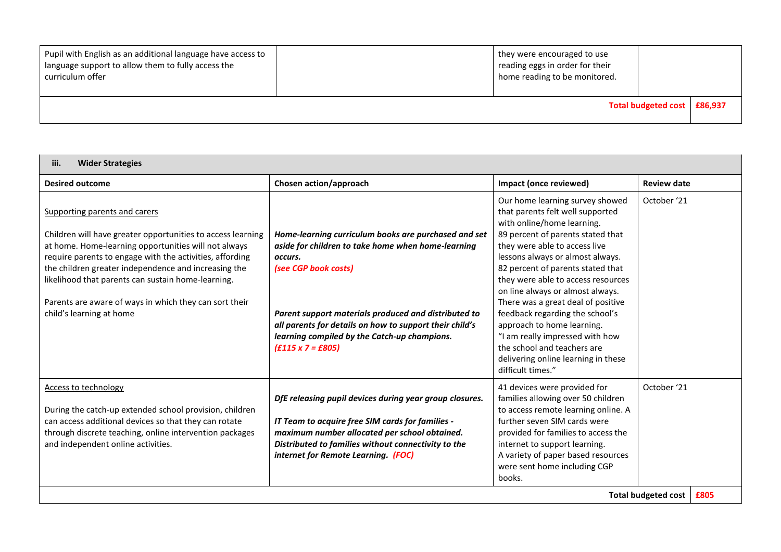| Pupil with English as an additional language have access to<br>l language support to allow them to fully access the<br>curriculum offer | they were encouraged to use<br>reading eggs in order for their<br>home reading to be monitored. |                             |  |
|-----------------------------------------------------------------------------------------------------------------------------------------|-------------------------------------------------------------------------------------------------|-----------------------------|--|
|                                                                                                                                         |                                                                                                 | Total budgeted cost E86,937 |  |

| iii.<br><b>Wider Strategies</b>                                                                                                                                                                                                                                                                                                                                                                                      |                                                                                                                                                                                                                                                                                                                                              |                                                                                                                                                                                                                                                                                                                                                                                                                                                                                                                                                                 |                                    |
|----------------------------------------------------------------------------------------------------------------------------------------------------------------------------------------------------------------------------------------------------------------------------------------------------------------------------------------------------------------------------------------------------------------------|----------------------------------------------------------------------------------------------------------------------------------------------------------------------------------------------------------------------------------------------------------------------------------------------------------------------------------------------|-----------------------------------------------------------------------------------------------------------------------------------------------------------------------------------------------------------------------------------------------------------------------------------------------------------------------------------------------------------------------------------------------------------------------------------------------------------------------------------------------------------------------------------------------------------------|------------------------------------|
| <b>Desired outcome</b>                                                                                                                                                                                                                                                                                                                                                                                               | Chosen action/approach                                                                                                                                                                                                                                                                                                                       | Impact (once reviewed)                                                                                                                                                                                                                                                                                                                                                                                                                                                                                                                                          | <b>Review date</b>                 |
| Supporting parents and carers<br>Children will have greater opportunities to access learning<br>at home. Home-learning opportunities will not always<br>require parents to engage with the activities, affording<br>the children greater independence and increasing the<br>likelihood that parents can sustain home-learning.<br>Parents are aware of ways in which they can sort their<br>child's learning at home | Home-learning curriculum books are purchased and set<br>aside for children to take home when home-learning<br>occurs.<br>(see CGP book costs)<br>Parent support materials produced and distributed to<br>all parents for details on how to support their child's<br>learning compiled by the Catch-up champions.<br>$(E115 \times 7 = E805)$ | Our home learning survey showed<br>that parents felt well supported<br>with online/home learning.<br>89 percent of parents stated that<br>they were able to access live<br>lessons always or almost always.<br>82 percent of parents stated that<br>they were able to access resources<br>on line always or almost always.<br>There was a great deal of positive<br>feedback regarding the school's<br>approach to home learning.<br>"I am really impressed with how<br>the school and teachers are<br>delivering online learning in these<br>difficult times." | October '21                        |
| <b>Access to technology</b><br>During the catch-up extended school provision, children<br>can access additional devices so that they can rotate<br>through discrete teaching, online intervention packages<br>and independent online activities.                                                                                                                                                                     | DfE releasing pupil devices during year group closures.<br>IT Team to acquire free SIM cards for families -<br>maximum number allocated per school obtained.<br>Distributed to families without connectivity to the<br>internet for Remote Learning. (FOC)                                                                                   | 41 devices were provided for<br>families allowing over 50 children<br>to access remote learning online. A<br>further seven SIM cards were<br>provided for families to access the<br>internet to support learning.<br>A variety of paper based resources<br>were sent home including CGP<br>books.                                                                                                                                                                                                                                                               | October '21                        |
|                                                                                                                                                                                                                                                                                                                                                                                                                      |                                                                                                                                                                                                                                                                                                                                              |                                                                                                                                                                                                                                                                                                                                                                                                                                                                                                                                                                 | <b>Total budgeted cost</b><br>£805 |